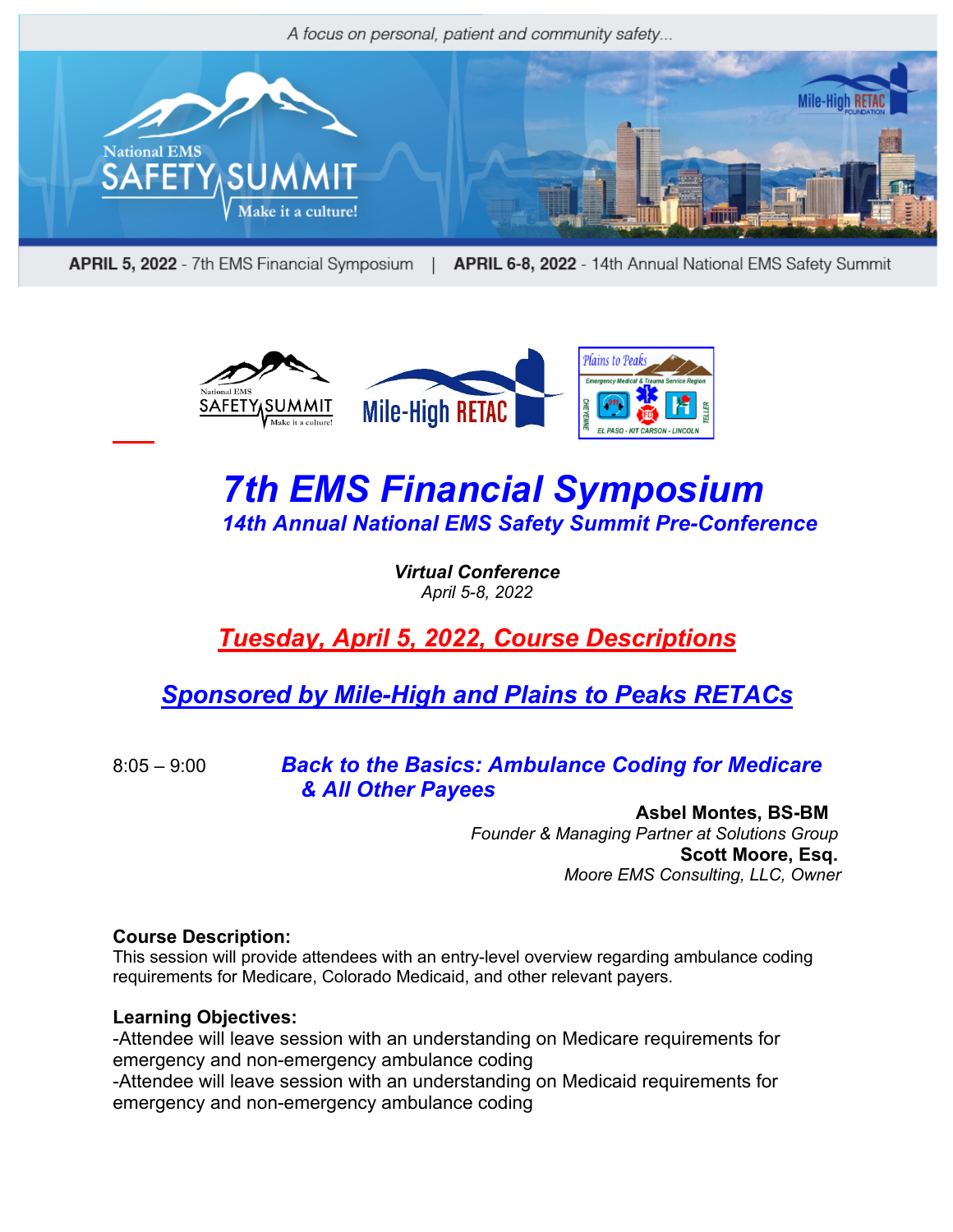

APRIL 5, 2022 - 7th EMS Financial Symposium | APRIL 6-8, 2022 - 14th Annual National EMS Safety Summit



# *7th EMS Financial Symposium 14th Annual National EMS Safety Summit Pre-Conference*

*Virtual Conference April 5-8, 2022*

*Tuesday, April 5, 2022, Course Descriptions*

# *Sponsored by Mile-High and Plains to Peaks RETACs*

# 8:05 – 9:00 *Back to the Basics: Ambulance Coding for Medicare & All Other Payees*

**Asbel Montes, BS-BM** *Founder & Managing Partner at Solutions Group* **Scott Moore, Esq.** *Moore EMS Consulting, LLC, Owner*

#### **Course Description:**

This session will provide attendees with an entry-level overview regarding ambulance coding requirements for Medicare, Colorado Medicaid, and other relevant payers.

#### **Learning Objectives:**

-Attendee will leave session with an understanding on Medicare requirements for emergency and non-emergency ambulance coding -Attendee will leave session with an understanding on Medicaid requirements for emergency and non-emergency ambulance coding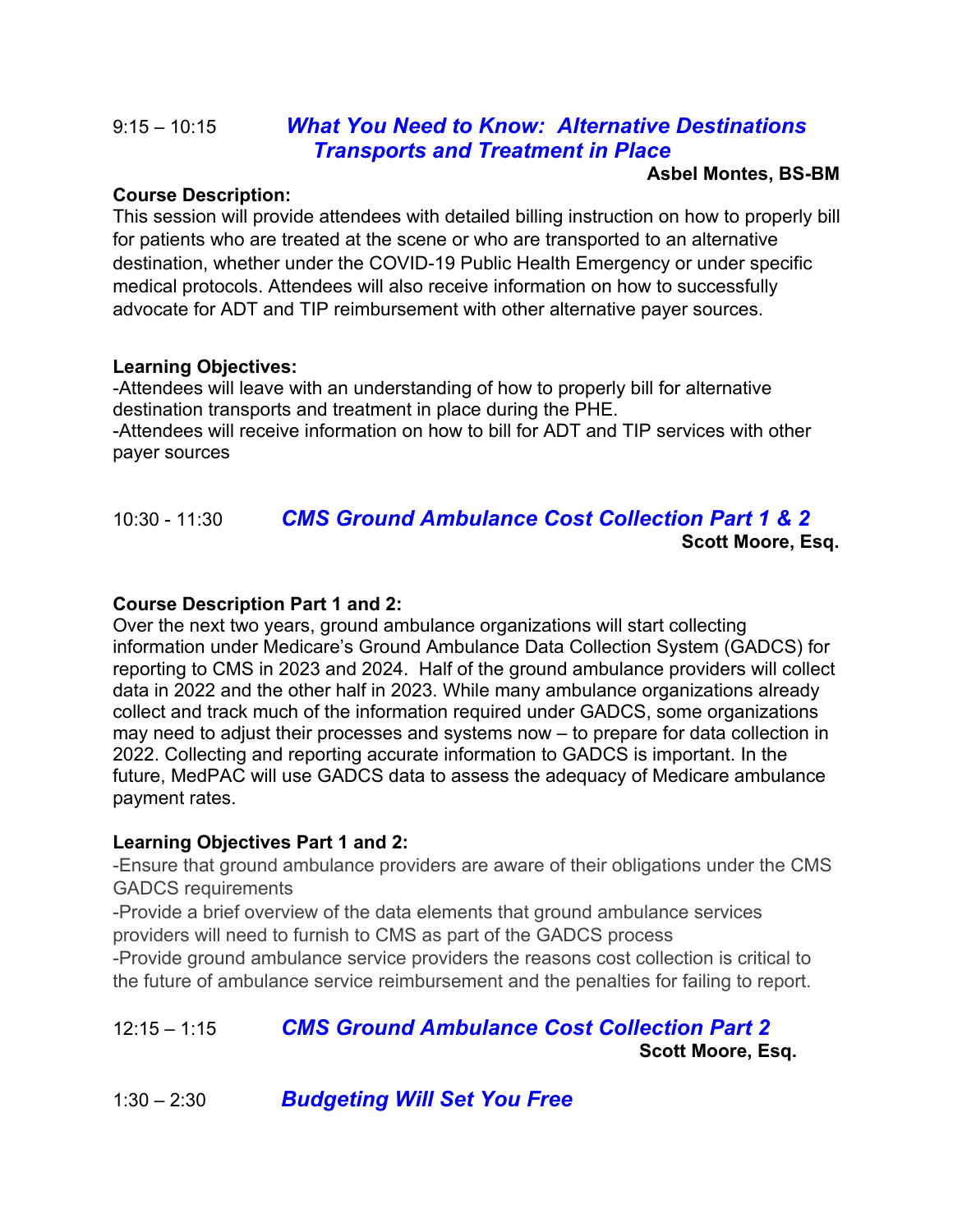# 9:15 – 10:15 *What You Need to Know: Alternative Destinations Transports and Treatment in Place*

#### **Course Description:**

#### **Asbel Montes, BS-BM**

This session will provide attendees with detailed billing instruction on how to properly bill for patients who are treated at the scene or who are transported to an alternative destination, whether under the COVID-19 Public Health Emergency or under specific medical protocols. Attendees will also receive information on how to successfully advocate for ADT and TIP reimbursement with other alternative payer sources.

#### **Learning Objectives:**

-Attendees will leave with an understanding of how to properly bill for alternative destination transports and treatment in place during the PHE. -Attendees will receive information on how to bill for ADT and TIP services with other payer sources

## 10:30 - 11:30 *CMS Ground Ambulance Cost Collection Part 1 & 2* **Scott Moore, Esq.**

#### **Course Description Part 1 and 2:**

Over the next two years, ground ambulance organizations will start collecting information under Medicare's Ground Ambulance Data Collection System (GADCS) for reporting to CMS in 2023 and 2024. Half of the ground ambulance providers will collect data in 2022 and the other half in 2023. While many ambulance organizations already collect and track much of the information required under GADCS, some organizations may need to adjust their processes and systems now – to prepare for data collection in 2022. Collecting and reporting accurate information to GADCS is important. In the future, MedPAC will use GADCS data to assess the adequacy of Medicare ambulance payment rates.

#### **Learning Objectives Part 1 and 2:**

-Ensure that ground ambulance providers are aware of their obligations under the CMS GADCS requirements

-Provide a brief overview of the data elements that ground ambulance services providers will need to furnish to CMS as part of the GADCS process

-Provide ground ambulance service providers the reasons cost collection is critical to the future of ambulance service reimbursement and the penalties for failing to report.

# 12:15 – 1:15 *CMS Ground Ambulance Cost Collection Part 2*

**Scott Moore, Esq.**

1:30 – 2:30 *Budgeting Will Set You Free*